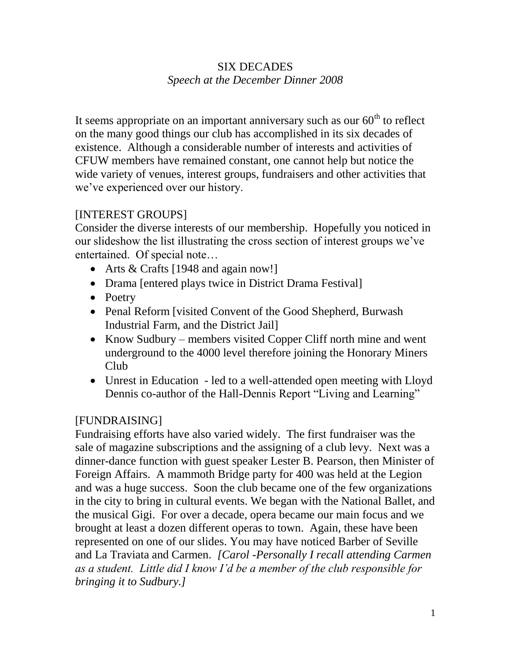## SIX DECADES *Speech at the December Dinner 2008*

It seems appropriate on an important anniversary such as our  $60<sup>th</sup>$  to reflect on the many good things our club has accomplished in its six decades of existence. Although a considerable number of interests and activities of CFUW members have remained constant, one cannot help but notice the wide variety of venues, interest groups, fundraisers and other activities that we've experienced over our history.

## [INTEREST GROUPS]

Consider the diverse interests of our membership. Hopefully you noticed in our slideshow the list illustrating the cross section of interest groups we've entertained. Of special note…

- Arts & Crafts [1948 and again now!]
- Drama [entered plays twice in District Drama Festival]
- Poetry
- Penal Reform [visited Convent of the Good Shepherd, Burwash Industrial Farm, and the District Jail]
- Know Sudbury members visited Copper Cliff north mine and went underground to the 4000 level therefore joining the Honorary Miners Club
- Unrest in Education led to a well-attended open meeting with Lloyd Dennis co-author of the Hall-Dennis Report "Living and Learning"

## [FUNDRAISING]

Fundraising efforts have also varied widely. The first fundraiser was the sale of magazine subscriptions and the assigning of a club levy. Next was a dinner-dance function with guest speaker Lester B. Pearson, then Minister of Foreign Affairs. A mammoth Bridge party for 400 was held at the Legion and was a huge success. Soon the club became one of the few organizations in the city to bring in cultural events. We began with the National Ballet, and the musical Gigi. For over a decade, opera became our main focus and we brought at least a dozen different operas to town. Again, these have been represented on one of our slides. You may have noticed Barber of Seville and La Traviata and Carmen. *[Carol -Personally I recall attending Carmen as a student. Little did I know I'd be a member of the club responsible for bringing it to Sudbury.]*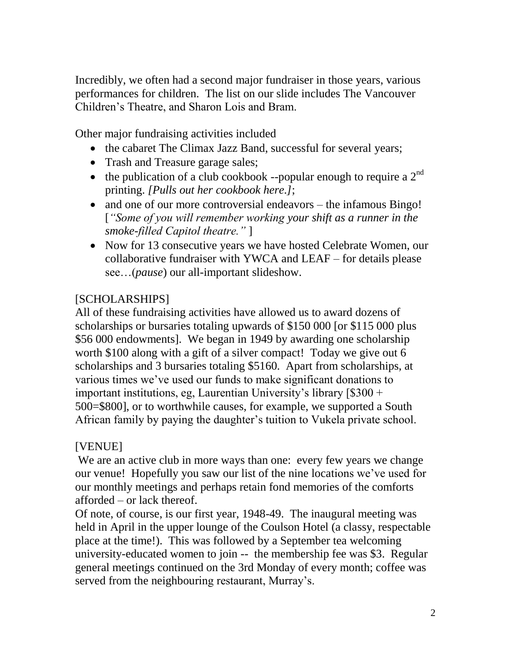Incredibly, we often had a second major fundraiser in those years, various performances for children. The list on our slide includes The Vancouver Children's Theatre, and Sharon Lois and Bram.

Other major fundraising activities included

- the cabaret The Climax Jazz Band, successful for several years;
- Trash and Treasure garage sales;
- the publication of a club cookbook --popular enough to require a  $2<sup>nd</sup>$ printing. *[Pulls out her cookbook here.]*;
- and one of our more controversial endeavors the infamous Bingo! [*"Some of you will remember working your shift as a runner in the smoke-filled Capitol theatre."* ]
- Now for 13 consecutive years we have hosted Celebrate Women, our collaborative fundraiser with YWCA and LEAF – for details please see…(*pause*) our all-important slideshow.

## [SCHOLARSHIPS]

All of these fundraising activities have allowed us to award dozens of scholarships or bursaries totaling upwards of \$150 000 [or \$115 000 plus \$56 000 endowments]. We began in 1949 by awarding one scholarship worth \$100 along with a gift of a silver compact! Today we give out 6 scholarships and 3 bursaries totaling \$5160. Apart from scholarships, at various times we've used our funds to make significant donations to important institutions, eg, Laurentian University's library [\$300 + 500=\$800], or to worthwhile causes, for example, we supported a South African family by paying the daughter's tuition to Vukela private school.

## [VENUE]

We are an active club in more ways than one: every few years we change our venue! Hopefully you saw our list of the nine locations we've used for our monthly meetings and perhaps retain fond memories of the comforts afforded – or lack thereof.

Of note, of course, is our first year, 1948-49. The inaugural meeting was held in April in the upper lounge of the Coulson Hotel (a classy, respectable place at the time!). This was followed by a September tea welcoming university-educated women to join -- the membership fee was \$3. Regular general meetings continued on the 3rd Monday of every month; coffee was served from the neighbouring restaurant, Murray's.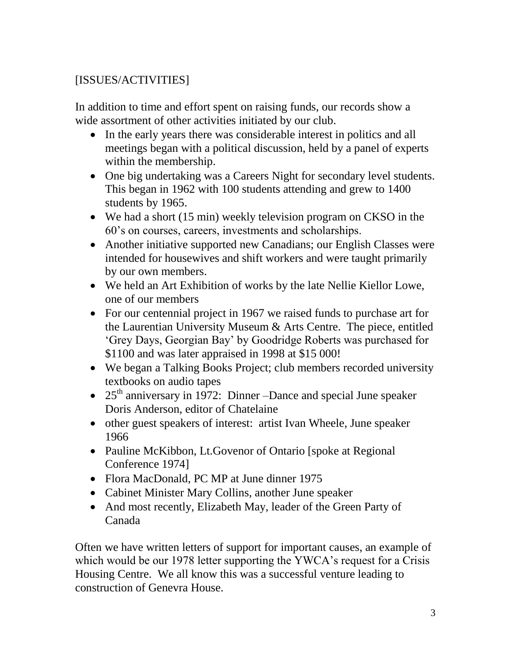# [ISSUES/ACTIVITIES]

In addition to time and effort spent on raising funds, our records show a wide assortment of other activities initiated by our club.

- In the early years there was considerable interest in politics and all meetings began with a political discussion, held by a panel of experts within the membership.
- One big undertaking was a Careers Night for secondary level students. This began in 1962 with 100 students attending and grew to 1400 students by 1965.
- We had a short (15 min) weekly television program on CKSO in the 60's on courses, careers, investments and scholarships.
- Another initiative supported new Canadians; our English Classes were intended for housewives and shift workers and were taught primarily by our own members.
- We held an Art Exhibition of works by the late Nellie Kiellor Lowe, one of our members
- For our centennial project in 1967 we raised funds to purchase art for the Laurentian University Museum & Arts Centre. The piece, entitled 'Grey Days, Georgian Bay' by Goodridge Roberts was purchased for \$1100 and was later appraised in 1998 at \$15 000!
- We began a Talking Books Project; club members recorded university textbooks on audio tapes
- $\bullet$  25<sup>th</sup> anniversary in 1972: Dinner –Dance and special June speaker Doris Anderson, editor of Chatelaine
- other guest speakers of interest: artist Ivan Wheele, June speaker 1966
- Pauline McKibbon, Lt.Govenor of Ontario [spoke at Regional Conference 1974]
- Flora MacDonald, PC MP at June dinner 1975
- Cabinet Minister Mary Collins, another June speaker
- And most recently, Elizabeth May, leader of the Green Party of Canada

Often we have written letters of support for important causes, an example of which would be our 1978 letter supporting the YWCA's request for a Crisis Housing Centre. We all know this was a successful venture leading to construction of Genevra House.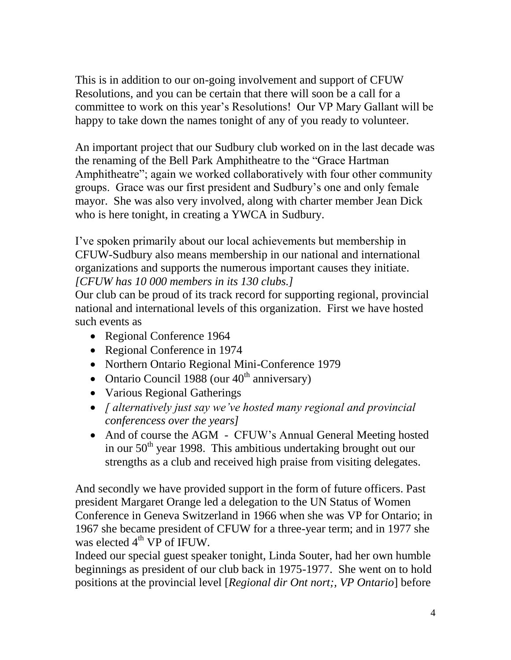This is in addition to our on-going involvement and support of CFUW Resolutions, and you can be certain that there will soon be a call for a committee to work on this year's Resolutions! Our VP Mary Gallant will be happy to take down the names tonight of any of you ready to volunteer.

An important project that our Sudbury club worked on in the last decade was the renaming of the Bell Park Amphitheatre to the "Grace Hartman Amphitheatre"; again we worked collaboratively with four other community groups. Grace was our first president and Sudbury's one and only female mayor. She was also very involved, along with charter member Jean Dick who is here tonight, in creating a YWCA in Sudbury.

I've spoken primarily about our local achievements but membership in CFUW-Sudbury also means membership in our national and international organizations and supports the numerous important causes they initiate. *[CFUW has 10 000 members in its 130 clubs.]*

Our club can be proud of its track record for supporting regional, provincial national and international levels of this organization. First we have hosted such events as

- Regional Conference 1964
- Regional Conference in 1974
- Northern Ontario Regional Mini-Conference 1979
- Ontario Council 1988 (our  $40<sup>th</sup>$  anniversary)
- Various Regional Gatherings
- *[ alternatively just say we've hosted many regional and provincial conferencess over the years]*
- And of course the AGM CFUW's Annual General Meeting hosted in our  $50<sup>th</sup>$  year 1998. This ambitious undertaking brought out our strengths as a club and received high praise from visiting delegates.

And secondly we have provided support in the form of future officers. Past president Margaret Orange led a delegation to the UN Status of Women Conference in Geneva Switzerland in 1966 when she was VP for Ontario; in 1967 she became president of CFUW for a three-year term; and in 1977 she was elected  $4<sup>th</sup> VP$  of IFUW.

Indeed our special guest speaker tonight, Linda Souter, had her own humble beginnings as president of our club back in 1975-1977. She went on to hold positions at the provincial level [*Regional dir Ont nort;, VP Ontario*] before